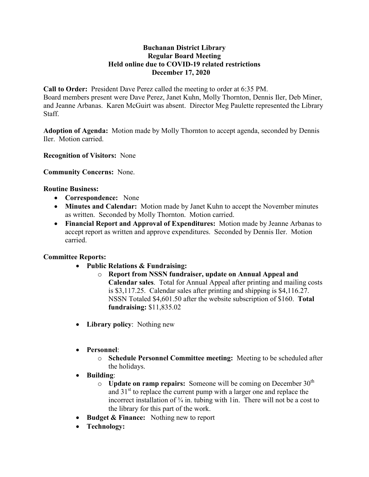### **Buchanan District Library Regular Board Meeting Held online due to COVID-19 related restrictions December 17, 2020**

**Call to Order:** President Dave Perez called the meeting to order at 6:35 PM.

Board members present were Dave Perez, Janet Kuhn, Molly Thornton, Dennis Iler, Deb Miner, and Jeanne Arbanas. Karen McGuirt was absent. Director Meg Paulette represented the Library Staff.

**Adoption of Agenda:** Motion made by Molly Thornton to accept agenda, seconded by Dennis Iler. Motion carried.

**Recognition of Visitors:** None

**Community Concerns:** None.

### **Routine Business:**

- **Correspondence:** None
- **Minutes and Calendar:** Motion made by Janet Kuhn to accept the November minutes as written. Seconded by Molly Thornton. Motion carried.
- **Financial Report and Approval of Expenditures:** Motion made by Jeanne Arbanas to accept report as written and approve expenditures. Seconded by Dennis Iler. Motion carried.

# **Committee Reports:**

- **Public Relations & Fundraising:** 
	- o **Report from NSSN fundraiser, update on Annual Appeal and Calendar sales**. Total for Annual Appeal after printing and mailing costs is \$3,117.25. Calendar sales after printing and shipping is \$4,116.27. NSSN Totaled \$4,601.50 after the website subscription of \$160. **Total fundraising:** \$11,835.02
- **Library policy**: Nothing new
- **Personnel**:
	- o **Schedule Personnel Committee meeting:** Meeting to be scheduled after the holidays.
- **Building**:
	- $\circ$  **Update on ramp repairs:** Someone will be coming on December 30<sup>th</sup> and  $31<sup>st</sup>$  to replace the current pump with a larger one and replace the incorrect installation of  $\frac{3}{4}$  in. tubing with 1in. There will not be a cost to the library for this part of the work.
- **Budget & Finance:** Nothing new to report
- **Technology:**